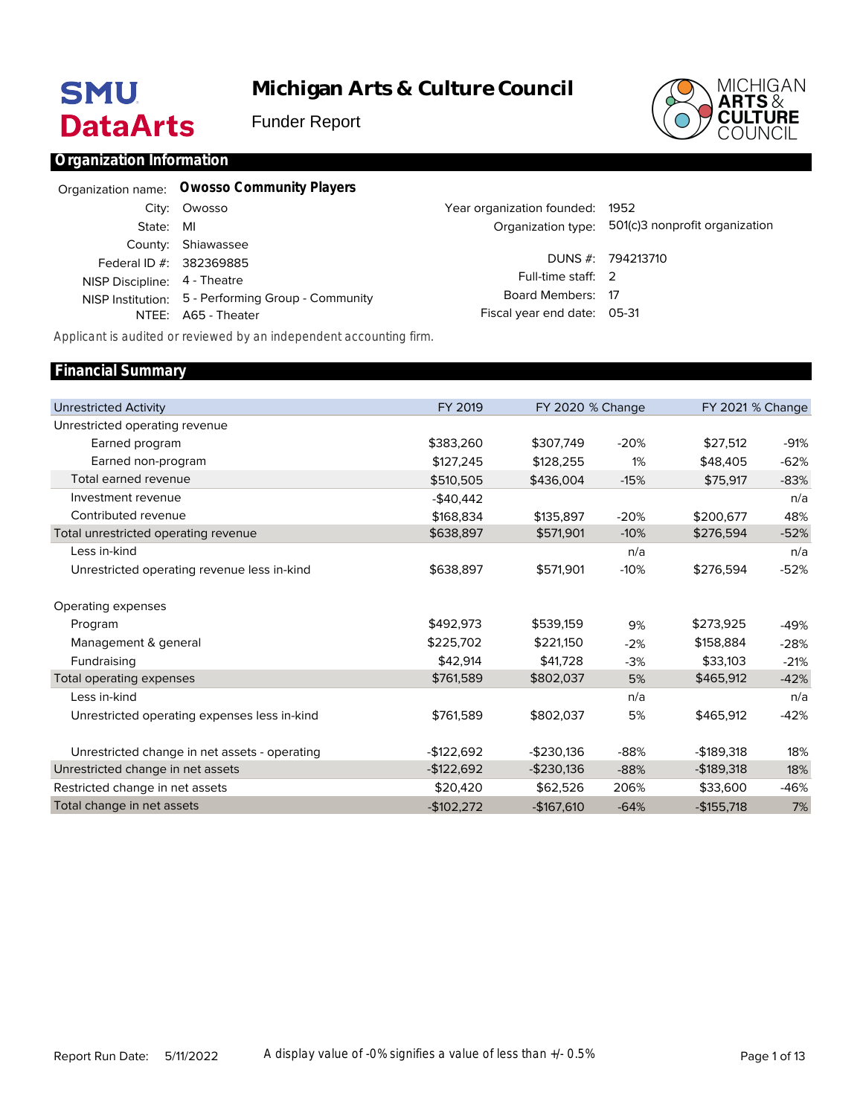# **SMU DataArts**

**Michigan Arts & Culture Council**

Funder Report



#### **Organization Information**

|                              | Organization name: Owosso Community Players        |                                 |                                                   |
|------------------------------|----------------------------------------------------|---------------------------------|---------------------------------------------------|
|                              | City: Owosso                                       | Year organization founded: 1952 |                                                   |
| State:                       | MI                                                 |                                 | Organization type: 501(c)3 nonprofit organization |
|                              | County: Shiawassee                                 |                                 |                                                   |
| Federal ID #: 382369885      |                                                    |                                 | DUNS #: 794213710                                 |
| NISP Discipline: 4 - Theatre |                                                    | Full-time staff: 2              |                                                   |
|                              | NISP Institution: 5 - Performing Group - Community | Board Members: 17               |                                                   |
|                              | NTEE: A65 - Theater                                | Fiscal year end date: 05-31     |                                                   |

*Applicant is audited or reviewed by an independent accounting firm.*

#### Unrestricted Activity Unrestricted operating revenue Earned program Earned non-program Total earned revenue Investment revenue Contributed revenue Total unrestricted operating revenue Less in-kind Unrestricted operating revenue less in-kind Operating expenses Program Management & general Fundraising Total operating expenses Less in-kind Unrestricted operating expenses less in-kind Unrestricted change in net assets - operating Unrestricted change in net assets Restricted change in net assets Total change in net assets FY 2019 \$383,260 \$127,245 \$510,505 -\$40,442 \$168,834 \$638,897 \$638,897 \$492,973 \$225,702 \$42,914 \$761,589 \$761,589 -\$122,692 -\$122,692 \$20,420 -\$102,272 FY 2020 % Change \$307,749 \$128,255 \$436,004 \$135,897 \$571,901 \$571,901 \$539,159 \$221,150 \$41,728 \$802,037 \$802,037 -\$230,136 -\$230,136 \$62,526 -\$167,610 -20% 1% -15% -20% -10% n/a -10% 9% -2% -3% 5% n/a 5% -88% -88% 206% -64% FY 2021 % Change \$27,512 \$48,405 \$75,917 \$200,677 \$276,594 \$276,594 \$273,925 \$158,884 \$33,103 \$465,912 \$465,912 -\$189,318 -\$189,318 \$33,600 -\$155,718 -91% -62% -83% n/a 48% -52% n/a -52% -49% -28% -21% -42% n/a -42% 18% 18% -46% 7% **Financial Summary**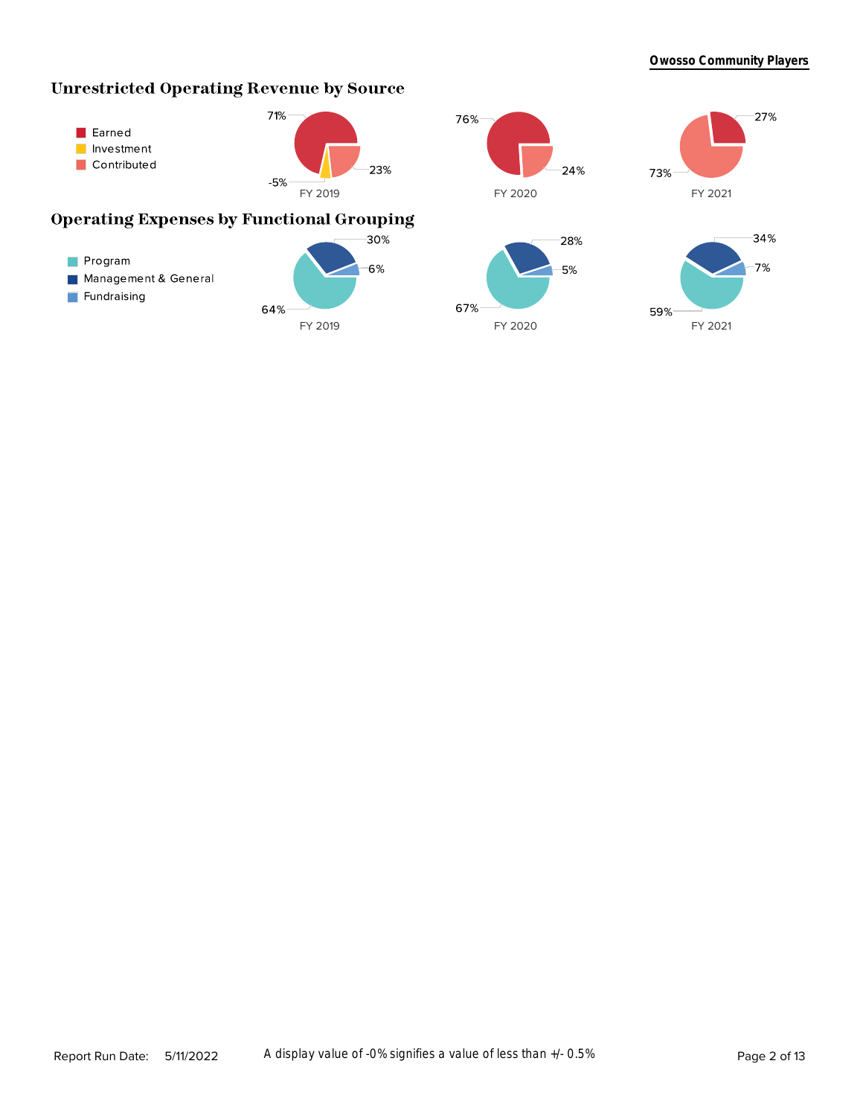# **Unrestricted Operating Revenue by Source**

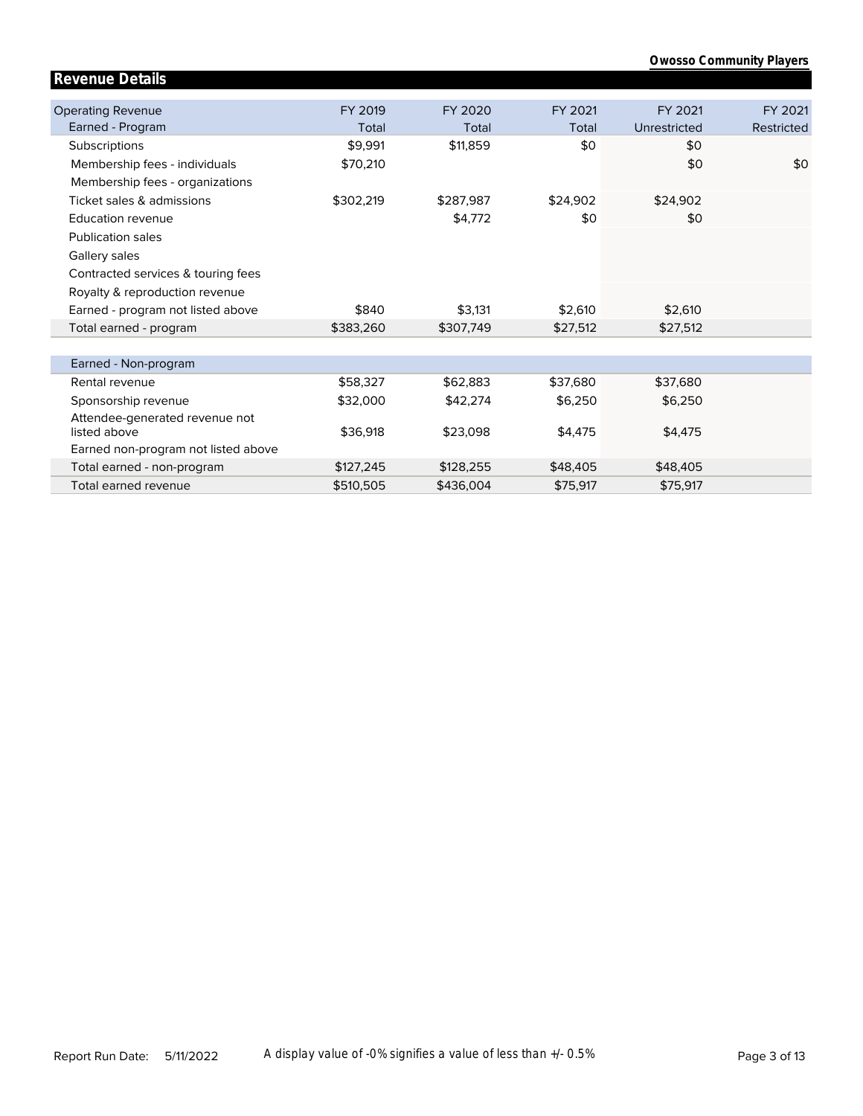| <b>Owosso Community Players</b> |  |
|---------------------------------|--|
|---------------------------------|--|

| <b>Revenue Details</b>              |           |           |          |              |            |
|-------------------------------------|-----------|-----------|----------|--------------|------------|
| <b>Operating Revenue</b>            | FY 2019   | FY 2020   | FY 2021  | FY 2021      | FY 2021    |
| Earned - Program                    | Total     | Total     | Total    | Unrestricted | Restricted |
| Subscriptions                       | \$9,991   | \$11,859  | \$0      | \$0          |            |
| Membership fees - individuals       | \$70,210  |           |          | \$0          | \$0        |
| Membership fees - organizations     |           |           |          |              |            |
| Ticket sales & admissions           | \$302,219 | \$287.987 | \$24,902 | \$24,902     |            |
| <b>Education revenue</b>            |           | \$4,772   | \$0      | \$0          |            |
| <b>Publication sales</b>            |           |           |          |              |            |
| Gallery sales                       |           |           |          |              |            |
| Contracted services & touring fees  |           |           |          |              |            |
| Royalty & reproduction revenue      |           |           |          |              |            |
| Earned - program not listed above   | \$840     | \$3,131   | \$2,610  | \$2,610      |            |
| Total earned - program              | \$383,260 | \$307,749 | \$27,512 | \$27,512     |            |
|                                     |           |           |          |              |            |
| Earned - Non-program                |           |           |          |              |            |
| Rental revenue                      | \$58,327  | \$62,883  | \$37,680 | \$37,680     |            |
| Sponsorship revenue                 | \$32,000  | \$42,274  | \$6,250  | \$6,250      |            |
| Attendee-generated revenue not      |           |           |          |              |            |
| listed above                        | \$36,918  | \$23,098  | \$4,475  | \$4,475      |            |
| Earned non-program not listed above |           |           |          |              |            |
| Total earned - non-program          | \$127,245 | \$128,255 | \$48,405 | \$48,405     |            |
| Total earned revenue                | \$510,505 | \$436,004 | \$75,917 | \$75,917     |            |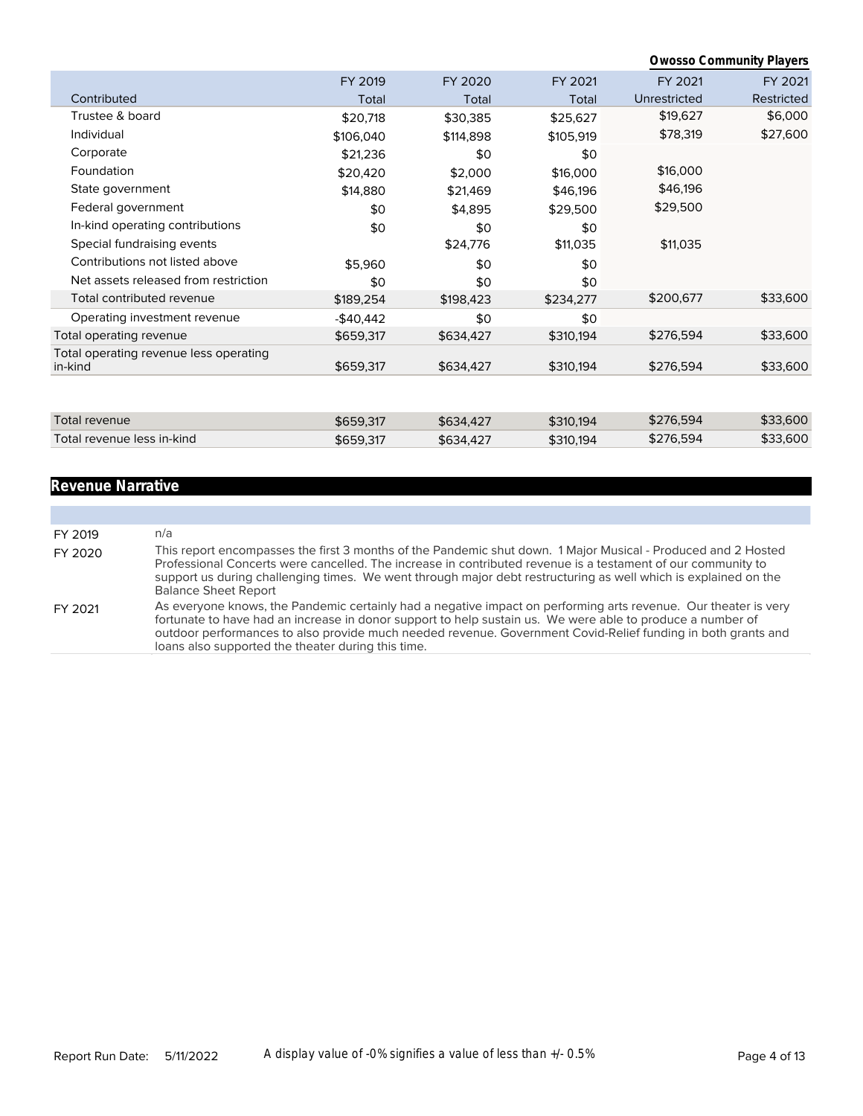|                                                   |            |           |           |              | <b>Owosso Community Players</b> |
|---------------------------------------------------|------------|-----------|-----------|--------------|---------------------------------|
|                                                   | FY 2019    | FY 2020   | FY 2021   | FY 2021      | FY 2021                         |
| Contributed                                       | Total      | Total     | Total     | Unrestricted | Restricted                      |
| Trustee & board                                   | \$20,718   | \$30,385  | \$25,627  | \$19,627     | \$6,000                         |
| Individual                                        | \$106,040  | \$114,898 | \$105,919 | \$78,319     | \$27,600                        |
| Corporate                                         | \$21,236   | \$0       | \$0       |              |                                 |
| Foundation                                        | \$20,420   | \$2,000   | \$16,000  | \$16,000     |                                 |
| State government                                  | \$14,880   | \$21,469  | \$46,196  | \$46,196     |                                 |
| Federal government                                | \$0        | \$4,895   | \$29,500  | \$29,500     |                                 |
| In-kind operating contributions                   | \$0        | \$0       | \$0       |              |                                 |
| Special fundraising events                        |            | \$24,776  | \$11,035  | \$11,035     |                                 |
| Contributions not listed above                    | \$5,960    | \$0       | \$0       |              |                                 |
| Net assets released from restriction              | \$0        | \$0       | \$0       |              |                                 |
| Total contributed revenue                         | \$189,254  | \$198,423 | \$234,277 | \$200,677    | \$33,600                        |
| Operating investment revenue                      | $-$40,442$ | \$0       | \$0       |              |                                 |
| Total operating revenue                           | \$659,317  | \$634,427 | \$310,194 | \$276,594    | \$33,600                        |
| Total operating revenue less operating<br>in-kind | \$659,317  | \$634,427 | \$310,194 | \$276,594    | \$33,600                        |
|                                                   |            |           |           |              |                                 |
| <b>Total revenue</b>                              | \$659,317  | \$634,427 | \$310,194 | \$276,594    | \$33,600                        |
| Total revenue less in-kind                        | \$659,317  | \$634,427 | \$310,194 | \$276,594    | \$33,600                        |

# **Revenue Narrative**

| FY 2019 | n/a                                                                                                                                                                                                                                                                                                                                                                                                 |
|---------|-----------------------------------------------------------------------------------------------------------------------------------------------------------------------------------------------------------------------------------------------------------------------------------------------------------------------------------------------------------------------------------------------------|
| FY 2020 | This report encompasses the first 3 months of the Pandemic shut down. 1 Major Musical - Produced and 2 Hosted<br>Professional Concerts were cancelled. The increase in contributed revenue is a testament of our community to<br>support us during challenging times. We went through major debt restructuring as well which is explained on the<br><b>Balance Sheet Report</b>                     |
| FY 2021 | As everyone knows, the Pandemic certainly had a negative impact on performing arts revenue. Our theater is very<br>fortunate to have had an increase in donor support to help sustain us. We were able to produce a number of<br>outdoor performances to also provide much needed revenue. Government Covid-Relief funding in both grants and<br>loans also supported the theater during this time. |
|         |                                                                                                                                                                                                                                                                                                                                                                                                     |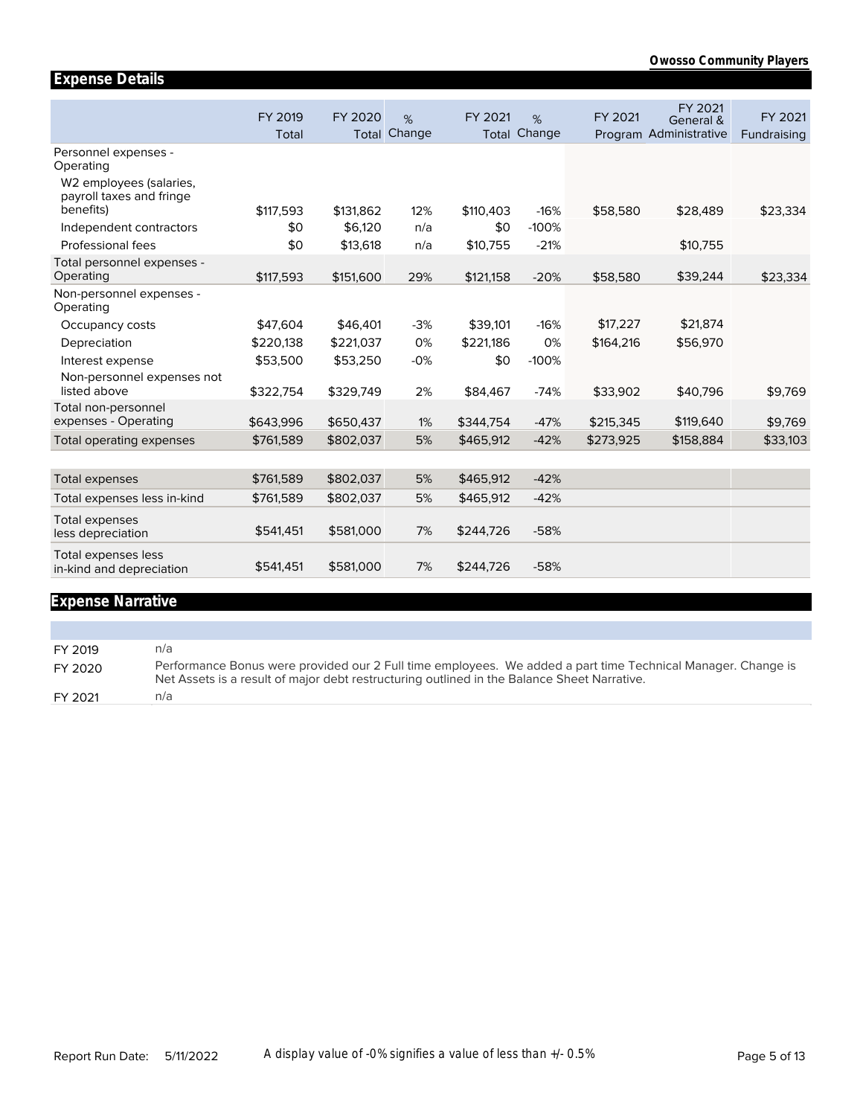|                                                                          | FY 2019<br>Total | FY 2020   | %<br><b>Total Change</b> | FY 2021   | %<br><b>Total Change</b> | FY 2021   | FY 2021<br>General &<br>Program Administrative | FY 2021<br>Fundraising |
|--------------------------------------------------------------------------|------------------|-----------|--------------------------|-----------|--------------------------|-----------|------------------------------------------------|------------------------|
| Personnel expenses -<br>Operating<br>W <sub>2</sub> employees (salaries, |                  |           |                          |           |                          |           |                                                |                        |
| payroll taxes and fringe<br>benefits)                                    | \$117,593        | \$131,862 | 12%                      | \$110,403 | $-16%$                   | \$58,580  | \$28,489                                       | \$23,334               |
| Independent contractors                                                  | \$0              | \$6.120   | n/a                      | \$0       | $-100%$                  |           |                                                |                        |
| Professional fees                                                        | \$0              | \$13,618  | n/a                      | \$10,755  | $-21%$                   |           | \$10,755                                       |                        |
| Total personnel expenses -<br>Operating                                  | \$117,593        | \$151,600 | 29%                      | \$121,158 | $-20%$                   | \$58,580  | \$39,244                                       | \$23,334               |
| Non-personnel expenses -<br>Operating                                    |                  |           |                          |           |                          |           |                                                |                        |
| Occupancy costs                                                          | \$47,604         | \$46,401  | $-3%$                    | \$39,101  | $-16%$                   | \$17,227  | \$21,874                                       |                        |
| Depreciation                                                             | \$220,138        | \$221,037 | 0%                       | \$221,186 | 0%                       | \$164,216 | \$56,970                                       |                        |
| Interest expense                                                         | \$53,500         | \$53,250  | $-0%$                    | \$0       | $-100%$                  |           |                                                |                        |
| Non-personnel expenses not                                               |                  |           |                          |           |                          |           |                                                |                        |
| listed above                                                             | \$322,754        | \$329,749 | 2%                       | \$84,467  | $-74%$                   | \$33,902  | \$40,796                                       | \$9,769                |
| Total non-personnel<br>expenses - Operating                              | \$643,996        | \$650,437 | 1%                       | \$344,754 | $-47%$                   | \$215,345 | \$119,640                                      | \$9,769                |
| Total operating expenses                                                 | \$761,589        | \$802,037 | 5%                       | \$465,912 | $-42%$                   | \$273,925 | \$158,884                                      | \$33,103               |
|                                                                          |                  |           |                          |           |                          |           |                                                |                        |
| <b>Total expenses</b>                                                    | \$761,589        | \$802,037 | 5%                       | \$465,912 | $-42%$                   |           |                                                |                        |
| Total expenses less in-kind                                              | \$761,589        | \$802,037 | 5%                       | \$465,912 | $-42%$                   |           |                                                |                        |
| <b>Total expenses</b><br>less depreciation                               | \$541,451        | \$581,000 | 7%                       | \$244,726 | $-58%$                   |           |                                                |                        |
| Total expenses less<br>in-kind and depreciation                          | \$541,451        | \$581,000 | 7%                       | \$244,726 | $-58%$                   |           |                                                |                        |
|                                                                          |                  |           |                          |           |                          |           |                                                |                        |

# **Expense Narrative**

**Expense Details**

FY 2019 n/a FY 2020 Performance Bonus were provided our 2 Full time employees. We added a part time Technical Manager. Change is Net Assets is a result of major debt restructuring outlined in the Balance Sheet Narrative. FY 2021 n/a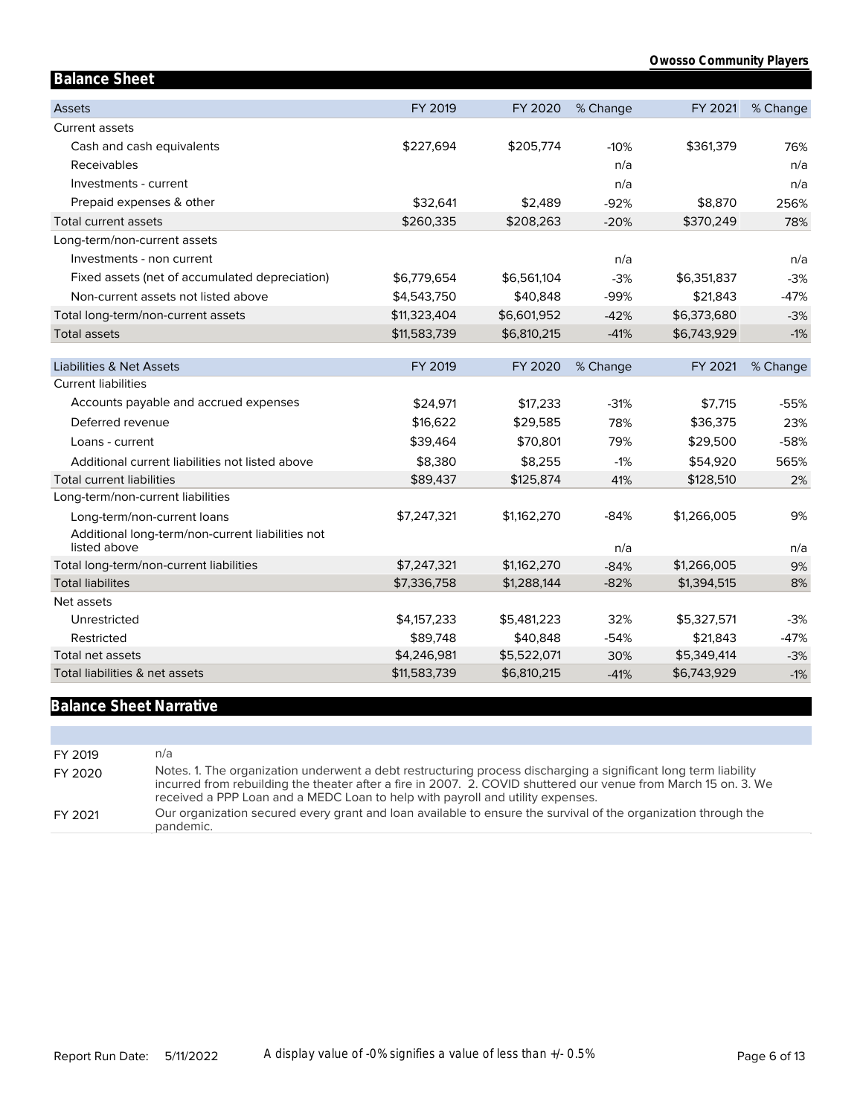| <b>Balance Sheet</b>                                             |              |             |          |             |          |
|------------------------------------------------------------------|--------------|-------------|----------|-------------|----------|
| <b>Assets</b>                                                    | FY 2019      | FY 2020     | % Change | FY 2021     | % Change |
| <b>Current assets</b>                                            |              |             |          |             |          |
| Cash and cash equivalents                                        | \$227,694    | \$205,774   | $-10%$   | \$361,379   | 76%      |
| Receivables                                                      |              |             | n/a      |             | n/a      |
| Investments - current                                            |              |             | n/a      |             | n/a      |
| Prepaid expenses & other                                         | \$32,641     | \$2,489     | $-92%$   | \$8,870     | 256%     |
| Total current assets                                             | \$260,335    | \$208,263   | $-20%$   | \$370,249   | 78%      |
| Long-term/non-current assets                                     |              |             |          |             |          |
| Investments - non current                                        |              |             | n/a      |             | n/a      |
| Fixed assets (net of accumulated depreciation)                   | \$6,779,654  | \$6,561,104 | $-3%$    | \$6,351,837 | $-3%$    |
| Non-current assets not listed above                              | \$4,543,750  | \$40,848    | $-99%$   | \$21,843    | $-47%$   |
| Total long-term/non-current assets                               | \$11,323,404 | \$6,601,952 | $-42%$   | \$6,373,680 | $-3%$    |
| <b>Total assets</b>                                              | \$11,583,739 | \$6,810,215 | $-41%$   | \$6,743,929 | $-1%$    |
|                                                                  |              |             |          |             |          |
| <b>Liabilities &amp; Net Assets</b>                              | FY 2019      | FY 2020     | % Change | FY 2021     | % Change |
| <b>Current liabilities</b>                                       |              |             |          |             |          |
| Accounts payable and accrued expenses                            | \$24,971     | \$17,233    | $-31%$   | \$7,715     | $-55%$   |
| Deferred revenue                                                 | \$16,622     | \$29,585    | 78%      | \$36,375    | 23%      |
| Loans - current                                                  | \$39,464     | \$70,801    | 79%      | \$29,500    | $-58%$   |
| Additional current liabilities not listed above                  | \$8,380      | \$8,255     | $-1%$    | \$54,920    | 565%     |
| <b>Total current liabilities</b>                                 | \$89,437     | \$125,874   | 41%      | \$128,510   | 2%       |
| Long-term/non-current liabilities                                |              |             |          |             |          |
| Long-term/non-current loans                                      | \$7,247,321  | \$1,162,270 | $-84%$   | \$1,266,005 | 9%       |
| Additional long-term/non-current liabilities not<br>listed above |              |             | n/a      |             | n/a      |
| Total long-term/non-current liabilities                          | \$7,247,321  | \$1,162,270 | $-84%$   | \$1,266,005 | 9%       |
| <b>Total liabilites</b>                                          | \$7,336,758  | \$1,288,144 | $-82%$   | \$1,394,515 | 8%       |
| Net assets                                                       |              |             |          |             |          |
| Unrestricted                                                     | \$4,157,233  | \$5,481,223 | 32%      | \$5,327,571 | $-3%$    |
| Restricted                                                       | \$89,748     | \$40,848    | $-54%$   | \$21,843    | $-47%$   |
| Total net assets                                                 | \$4,246,981  | \$5,522,071 | 30%      | \$5,349,414 | $-3%$    |
| Total liabilities & net assets                                   | \$11,583,739 | \$6,810,215 | $-41%$   | \$6,743,929 | $-1%$    |

# **Balance Sheet Narrative**

| FY 2019 | n/a                                                                                                                                                                                                                                                                                                                  |
|---------|----------------------------------------------------------------------------------------------------------------------------------------------------------------------------------------------------------------------------------------------------------------------------------------------------------------------|
| FY 2020 | Notes. 1. The organization underwent a debt restructuring process discharging a significant long term liability<br>incurred from rebuilding the theater after a fire in 2007. 2. COVID shuttered our venue from March 15 on. 3. We<br>received a PPP Loan and a MEDC Loan to help with payroll and utility expenses. |
| FY 2021 | Our organization secured every grant and loan available to ensure the survival of the organization through the<br>pandemic.                                                                                                                                                                                          |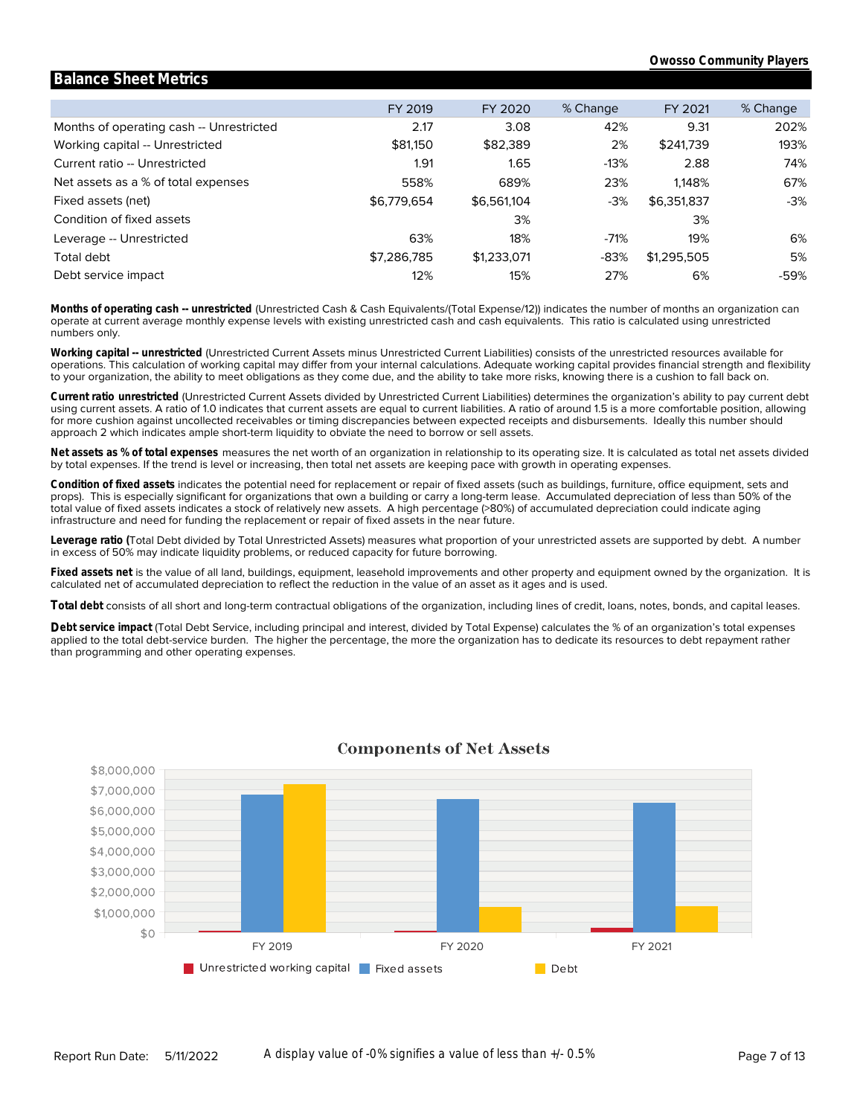#### Months of operating cash -- Unrestricted Working capital -- Unrestricted Current ratio -- Unrestricted Net assets as a % of total expenses Fixed assets (net) Condition of fixed assets Leverage -- Unrestricted Total debt Debt service impact FY 2019 2.17 \$81,150 1.91 558% \$6,779,654 63% \$7,286,785 12% FY 2020 3.08 \$82,389 1.65 689% \$6,561,104 3% 18% \$1,233,071 15% % Change 42% 2% -13% 23% -3% -71% -83% 27% FY 2021 9.31 \$241,739 2.88 1,148% \$6,351,837 3% 19% \$1,295,505 6% % Change 202% 193% 74% 67% -3% 6% 5% -59%

**Balance Sheet Metrics**

numbers only. operate at current average monthly expense levels with existing unrestricted cash and cash equivalents. This ratio is calculated using unrestricted **Months of operating cash -- unrestricted** (Unrestricted Cash & Cash Equivalents/(Total Expense/12)) indicates the number of months an organization can

to your organization, the ability to meet obligations as they come due, and the ability to take more risks, knowing there is a cushion to fall back on. operations. This calculation of working capital may differ from your internal calculations. Adequate working capital provides financial strength and flexibility **Working capital -- unrestricted** (Unrestricted Current Assets minus Unrestricted Current Liabilities) consists of the unrestricted resources available for

approach 2 which indicates ample short-term liquidity to obviate the need to borrow or sell assets. for more cushion against uncollected receivables or timing discrepancies between expected receipts and disbursements. Ideally this number should using current assets. A ratio of 1.0 indicates that current assets are equal to current liabilities. A ratio of around 1.5 is a more comfortable position, allowing **Current ratio unrestricted** (Unrestricted Current Assets divided by Unrestricted Current Liabilities) determines the organization's ability to pay current debt

by total expenses. If the trend is level or increasing, then total net assets are keeping pace with growth in operating expenses. **Net assets as % of total expenses** measures the net worth of an organization in relationship to its operating size. It is calculated as total net assets divided

infrastructure and need for funding the replacement or repair of fixed assets in the near future. total value of fixed assets indicates a stock of relatively new assets. A high percentage (>80%) of accumulated depreciation could indicate aging props). This is especially significant for organizations that own a building or carry a long-term lease. Accumulated depreciation of less than 50% of the **Condition of fixed assets** indicates the potential need for replacement or repair of fixed assets (such as buildings, furniture, office equipment, sets and

in excess of 50% may indicate liquidity problems, or reduced capacity for future borrowing. **Leverage ratio (**Total Debt divided by Total Unrestricted Assets) measures what proportion of your unrestricted assets are supported by debt. A number

calculated net of accumulated depreciation to reflect the reduction in the value of an asset as it ages and is used. **Fixed assets net** is the value of all land, buildings, equipment, leasehold improvements and other property and equipment owned by the organization. It is

**Total debt** consists of all short and long-term contractual obligations of the organization, including lines of credit, loans, notes, bonds, and capital leases.

than programming and other operating expenses. applied to the total debt-service burden. The higher the percentage, the more the organization has to dedicate its resources to debt repayment rather Debt service impact (Total Debt Service, including principal and interest, divided by Total Expense) calculates the % of an organization's total expenses



### **Components of Net Assets**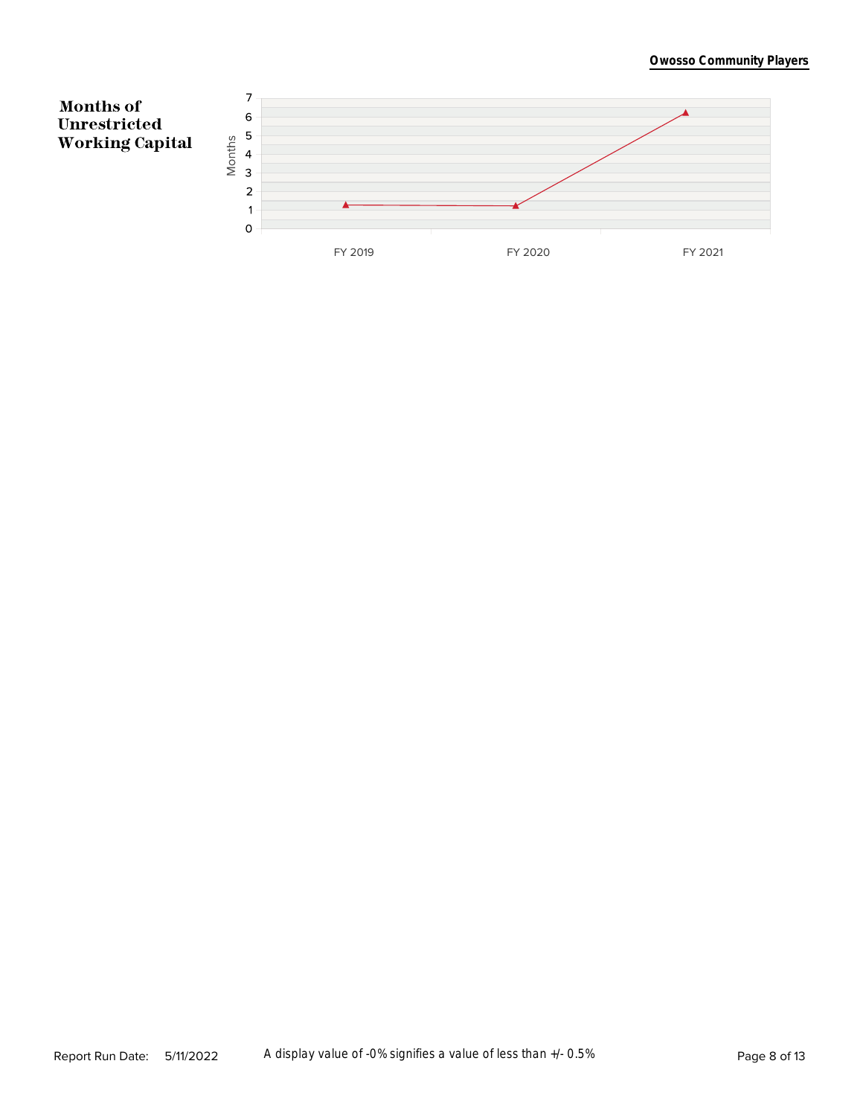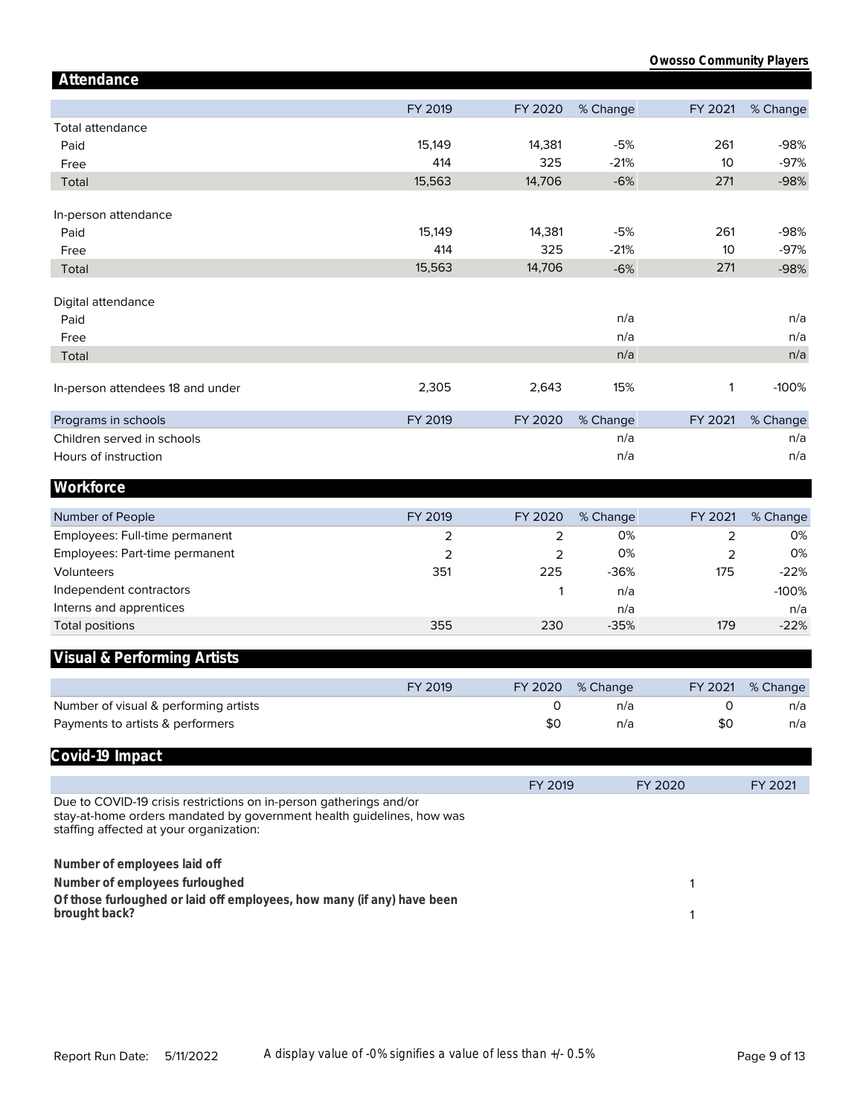| Attendance                                                                                                                                                                             |                     |                     |          |                     |          |
|----------------------------------------------------------------------------------------------------------------------------------------------------------------------------------------|---------------------|---------------------|----------|---------------------|----------|
|                                                                                                                                                                                        | FY 2019             | FY 2020             | % Change | FY 2021             | % Change |
| <b>Total attendance</b>                                                                                                                                                                |                     |                     |          |                     |          |
| Paid                                                                                                                                                                                   | 15,149              | 14,381              | $-5%$    | 261                 | $-98%$   |
|                                                                                                                                                                                        | 414                 | 325                 | $-21%$   | 10                  | $-97%$   |
| Free                                                                                                                                                                                   |                     |                     |          |                     |          |
| Total                                                                                                                                                                                  | 15,563              | 14,706              | $-6%$    | 271                 | $-98%$   |
|                                                                                                                                                                                        |                     |                     |          |                     |          |
| In-person attendance<br>Paid                                                                                                                                                           | 15,149              | 14,381              | $-5%$    | 261                 | $-98%$   |
|                                                                                                                                                                                        | 414                 | 325                 | $-21%$   | 10                  | $-97%$   |
| Free                                                                                                                                                                                   | 15,563              | 14,706              |          |                     |          |
| Total                                                                                                                                                                                  |                     |                     | $-6%$    | 271                 | $-98%$   |
| Digital attendance                                                                                                                                                                     |                     |                     |          |                     |          |
| Paid                                                                                                                                                                                   |                     |                     | n/a      |                     | n/a      |
| Free                                                                                                                                                                                   |                     |                     | n/a      |                     | n/a      |
|                                                                                                                                                                                        |                     |                     | n/a      |                     | n/a      |
| Total                                                                                                                                                                                  |                     |                     |          |                     |          |
| In-person attendees 18 and under                                                                                                                                                       | 2,305               | 2,643               | 15%      | 1                   | $-100%$  |
|                                                                                                                                                                                        |                     |                     |          |                     |          |
| Programs in schools                                                                                                                                                                    | FY 2019             | FY 2020             | % Change | FY 2021             | % Change |
| Children served in schools                                                                                                                                                             |                     |                     | n/a      |                     | n/a      |
| Hours of instruction                                                                                                                                                                   |                     |                     | n/a      |                     | n/a      |
|                                                                                                                                                                                        |                     |                     |          |                     |          |
| Workforce                                                                                                                                                                              |                     |                     |          |                     |          |
| Number of People                                                                                                                                                                       | FY 2019             | FY 2020             | % Change | FY 2021             | % Change |
| Employees: Full-time permanent                                                                                                                                                         |                     |                     | 0%       |                     | 0%       |
|                                                                                                                                                                                        | 2<br>$\overline{2}$ | 2<br>$\overline{2}$ | 0%       | 2<br>$\overline{2}$ | 0%       |
| Employees: Part-time permanent<br>Volunteers                                                                                                                                           | 351                 | 225                 | $-36%$   | 175                 | $-22%$   |
|                                                                                                                                                                                        |                     |                     |          |                     |          |
| Independent contractors                                                                                                                                                                |                     | 1                   | n/a      |                     | $-100%$  |
| Interns and apprentices                                                                                                                                                                |                     |                     | n/a      |                     | n/a      |
| <b>Total positions</b>                                                                                                                                                                 | 355                 | 230                 | $-35%$   | 179                 | $-22%$   |
| Visual & Performing Artists                                                                                                                                                            |                     |                     |          |                     |          |
|                                                                                                                                                                                        |                     |                     |          |                     |          |
|                                                                                                                                                                                        | FY 2019             | FY 2020             | % Change | FY 2021             | % Change |
| Number of visual & performing artists                                                                                                                                                  |                     | 0                   | n/a      | 0                   | n/a      |
| Payments to artists & performers                                                                                                                                                       |                     | \$0                 | n/a      | \$0                 | n/a      |
|                                                                                                                                                                                        |                     |                     |          |                     |          |
| Covid-19 Impact                                                                                                                                                                        |                     |                     |          |                     |          |
|                                                                                                                                                                                        |                     | FY 2019             |          | FY 2020             | FY 2021  |
| Due to COVID-19 crisis restrictions on in-person gatherings and/or<br>stay-at-home orders mandated by government health guidelines, how was<br>staffing affected at your organization: |                     |                     |          |                     |          |
| Number of employees laid off                                                                                                                                                           |                     |                     |          |                     |          |
|                                                                                                                                                                                        |                     |                     |          |                     |          |
| Number of employees furloughed                                                                                                                                                         |                     |                     |          | 1                   |          |
| Of those furloughed or laid off employees, how many (if any) have been<br>brought back?                                                                                                |                     |                     |          | 1                   |          |
|                                                                                                                                                                                        |                     |                     |          |                     |          |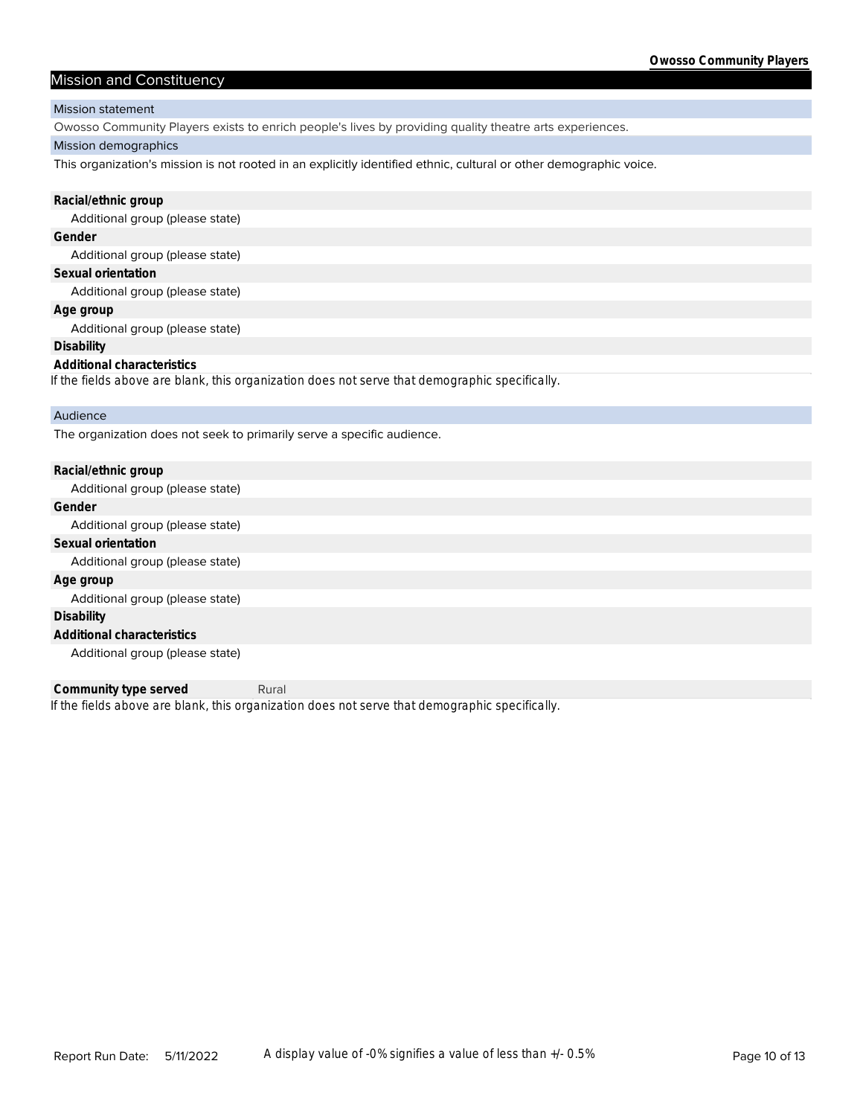### Mission and Constituency

#### Mission statement

Owosso Community Players exists to enrich people's lives by providing quality theatre arts experiences.

#### Mission demographics

This organization's mission is not rooted in an explicitly identified ethnic, cultural or other demographic voice.

| Racial/ethnic group                                                                            |
|------------------------------------------------------------------------------------------------|
| Additional group (please state)                                                                |
| Gender                                                                                         |
| Additional group (please state)                                                                |
| Sexual orientation                                                                             |
| Additional group (please state)                                                                |
| Age group                                                                                      |
| Additional group (please state)                                                                |
| Disability                                                                                     |
| Additional characteristics                                                                     |
| If the fields above are blank, this organization does not serve that demographic specifically. |
| Audience                                                                                       |
| The organization does not seek to primarily serve a specific audience.                         |

| Racial/ethnic group             |
|---------------------------------|
| Additional group (please state) |
| Gender                          |
| Additional group (please state) |
| Sexual orientation              |
| Additional group (please state) |
| Age group                       |
| Additional group (please state) |
| Disability                      |
| Additional characteristics      |
| Additional group (please state) |

*If the fields above are blank, this organization does not serve that demographic specifically.* **Community type served** Rural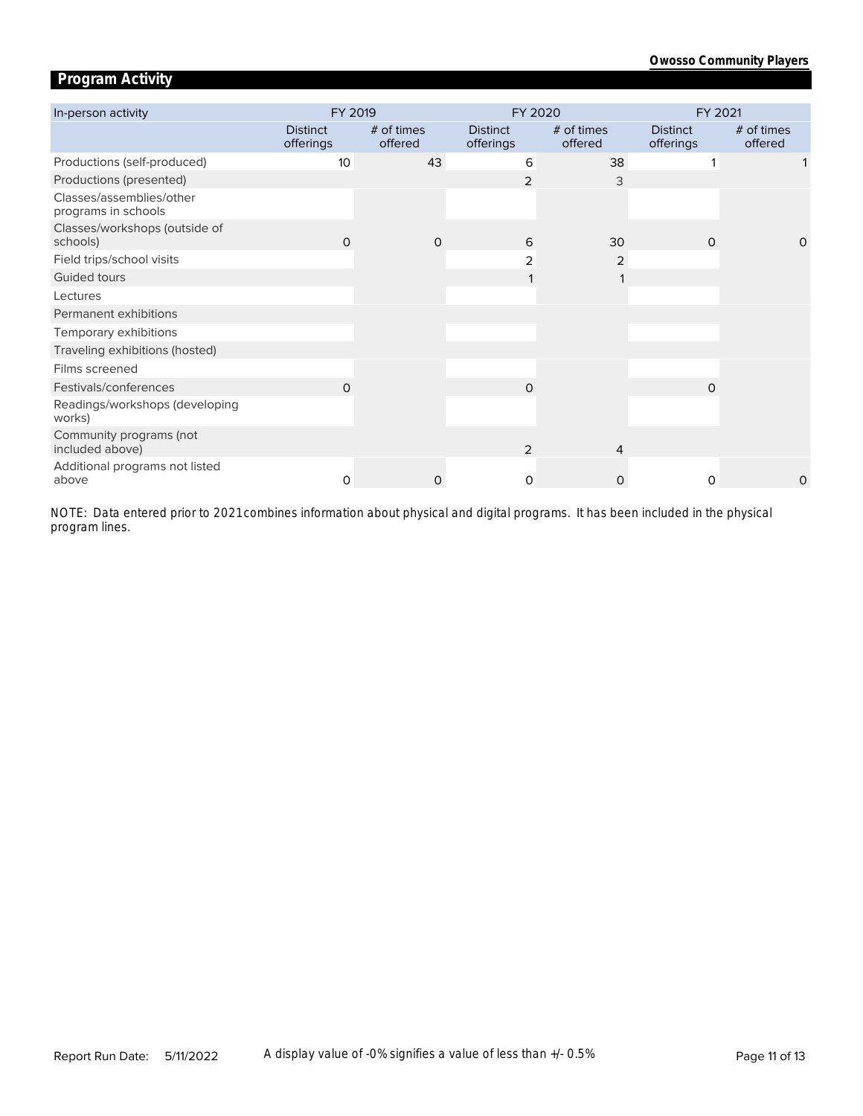# **Program Activity**

| In-person activity                              | FY 2019                      |                       | FY 2020                      |                       | FY 2021                      |                       |
|-------------------------------------------------|------------------------------|-----------------------|------------------------------|-----------------------|------------------------------|-----------------------|
|                                                 | <b>Distinct</b><br>offerings | # of times<br>offered | <b>Distinct</b><br>offerings | # of times<br>offered | <b>Distinct</b><br>offerings | # of times<br>offered |
| Productions (self-produced)                     | 10                           | 43                    | 6                            | 38                    |                              |                       |
| Productions (presented)                         |                              |                       | $\overline{2}$               | 3                     |                              |                       |
| Classes/assemblies/other<br>programs in schools |                              |                       |                              |                       |                              |                       |
| Classes/workshops (outside of<br>schools)       | $\Omega$                     | $\Omega$              | 6                            | 30                    | $\Omega$                     | $\Omega$              |
| Field trips/school visits                       |                              |                       | 2                            | 2                     |                              |                       |
| Guided tours                                    |                              |                       |                              |                       |                              |                       |
| Lectures                                        |                              |                       |                              |                       |                              |                       |
| Permanent exhibitions                           |                              |                       |                              |                       |                              |                       |
| Temporary exhibitions                           |                              |                       |                              |                       |                              |                       |
| Traveling exhibitions (hosted)                  |                              |                       |                              |                       |                              |                       |
| Films screened                                  |                              |                       |                              |                       |                              |                       |
| Festivals/conferences                           | $\Omega$                     |                       | $\Omega$                     |                       | $\Omega$                     |                       |
| Readings/workshops (developing<br>works)        |                              |                       |                              |                       |                              |                       |
| Community programs (not<br>included above)      |                              |                       | 2                            | 4                     |                              |                       |
| Additional programs not listed<br>above         | $\Omega$                     | 0                     | $\Omega$                     | $\Omega$              | $\Omega$                     | 0                     |

*program lines. NOTE: Data entered prior to 2021 combines information about physical and digital programs. It has been included in the physical*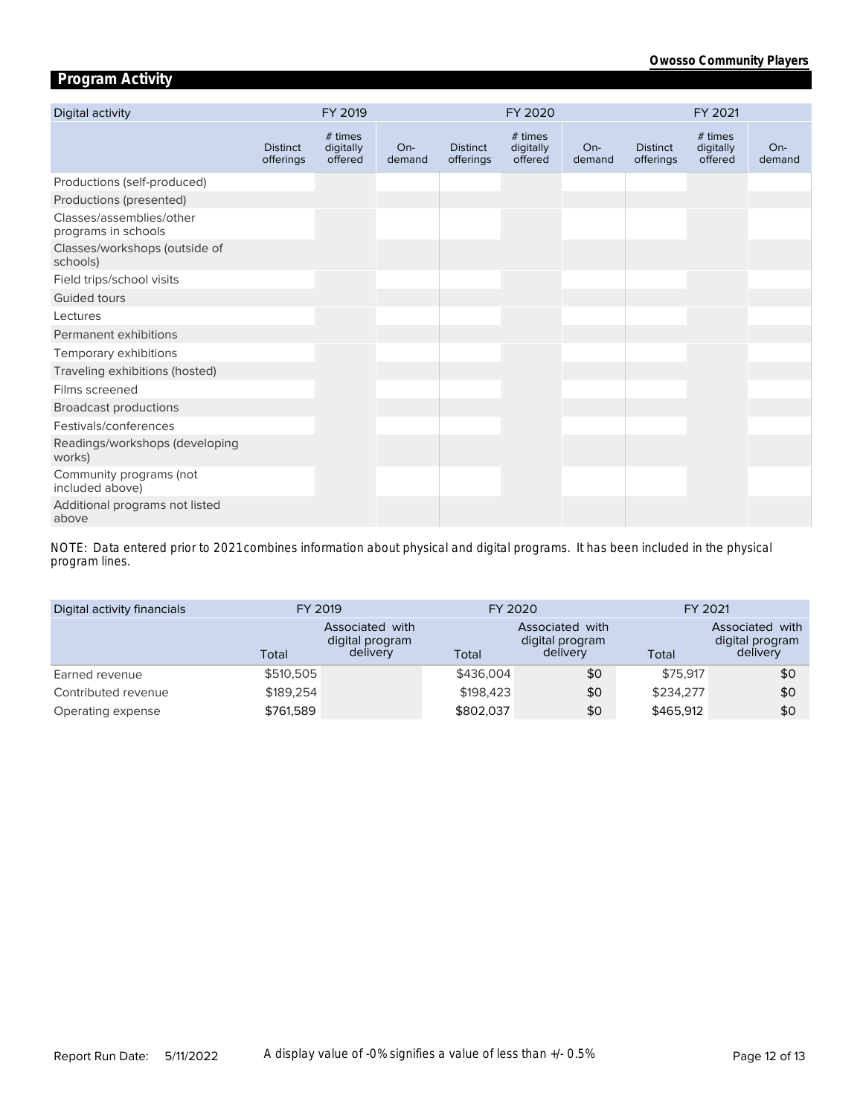# **Program Activity**

| Digital activity                                |                              | FY 2019                         |                 |                              | FY 2020                         |                 |                              | FY 2021                         |                 |
|-------------------------------------------------|------------------------------|---------------------------------|-----------------|------------------------------|---------------------------------|-----------------|------------------------------|---------------------------------|-----------------|
|                                                 | <b>Distinct</b><br>offerings | # times<br>digitally<br>offered | $On-$<br>demand | <b>Distinct</b><br>offerings | # times<br>digitally<br>offered | $On-$<br>demand | <b>Distinct</b><br>offerings | # times<br>digitally<br>offered | $On-$<br>demand |
| Productions (self-produced)                     |                              |                                 |                 |                              |                                 |                 |                              |                                 |                 |
| Productions (presented)                         |                              |                                 |                 |                              |                                 |                 |                              |                                 |                 |
| Classes/assemblies/other<br>programs in schools |                              |                                 |                 |                              |                                 |                 |                              |                                 |                 |
| Classes/workshops (outside of<br>schools)       |                              |                                 |                 |                              |                                 |                 |                              |                                 |                 |
| Field trips/school visits                       |                              |                                 |                 |                              |                                 |                 |                              |                                 |                 |
| Guided tours                                    |                              |                                 |                 |                              |                                 |                 |                              |                                 |                 |
| Lectures                                        |                              |                                 |                 |                              |                                 |                 |                              |                                 |                 |
| Permanent exhibitions                           |                              |                                 |                 |                              |                                 |                 |                              |                                 |                 |
| Temporary exhibitions                           |                              |                                 |                 |                              |                                 |                 |                              |                                 |                 |
| Traveling exhibitions (hosted)                  |                              |                                 |                 |                              |                                 |                 |                              |                                 |                 |
| Films screened                                  |                              |                                 |                 |                              |                                 |                 |                              |                                 |                 |
| <b>Broadcast productions</b>                    |                              |                                 |                 |                              |                                 |                 |                              |                                 |                 |
| Festivals/conferences                           |                              |                                 |                 |                              |                                 |                 |                              |                                 |                 |
| Readings/workshops (developing<br>works)        |                              |                                 |                 |                              |                                 |                 |                              |                                 |                 |
| Community programs (not<br>included above)      |                              |                                 |                 |                              |                                 |                 |                              |                                 |                 |
| Additional programs not listed<br>above         |                              |                                 |                 |                              |                                 |                 |                              |                                 |                 |

*program lines. NOTE: Data entered prior to 2021 combines information about physical and digital programs. It has been included in the physical* 

| Digital activity financials | FY 2019   |                                                | FY 2020   |                                                | FY 2021   |                                                |  |
|-----------------------------|-----------|------------------------------------------------|-----------|------------------------------------------------|-----------|------------------------------------------------|--|
|                             | Total     | Associated with<br>digital program<br>delivery | Total     | Associated with<br>digital program<br>delivery | Total     | Associated with<br>digital program<br>delivery |  |
| Earned revenue              | \$510,505 |                                                | \$436,004 | \$0                                            | \$75,917  | \$0                                            |  |
| Contributed revenue         | \$189,254 |                                                | \$198,423 | \$0                                            | \$234,277 | \$0                                            |  |
| Operating expense           | \$761,589 |                                                | \$802,037 | \$0                                            | \$465,912 | \$0                                            |  |